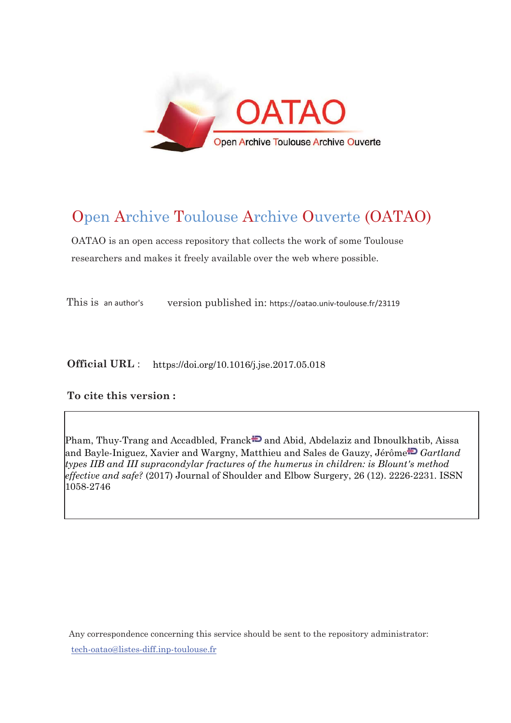

# Open Archive Toulouse Archive Ouverte (OATAO)

OATAO is an open access repository that collects the work of some Toulouse researchers and makes it freely available over the web where possible.

This is an author's version published in: https://oatao.univ-toulouse.fr/23119

**Official URL** : https://doi.org/10.1016/j.jse.2017.05.018

# **To cite this version :**

Pham, Thuy-Trang and Accadbled, Franck  $\Box$  and Abid, Abdelaziz and Ibnoulkhatib, Aissa and Bayle-Iniguez, Xavier and Wargny, Matthieu and Sales de Gauzy, Jérôm[e](http://www.idref.fr/050265466) *Gartland types IIB and III supracondylar fractures of the humerus in children: is Blount's method effective and safe?* (2017) Journal of Shoulder and Elbow Surgery, 26 (12). 2226-2231. ISSN 1058-2746

Any correspondence concerning this service should be sent to the repository administrator: [tech-oatao@listes-diff.inp-toulouse.fr](mailto:tech-oatao@listes-diff.inp-toulouse.fr)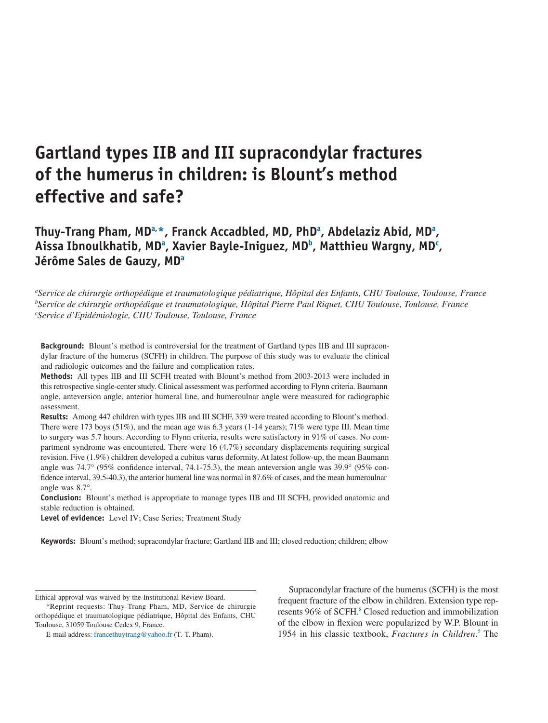# **Gartland types IIB and III supracondylar fractures of the humerus in children: is Blount's method effective and safe?**

**Thuy-Trang Pham, M[Da,](#page-1-0) [\\*,](#page-1-1) Franck Accadbled, MD, Ph[Da](#page-1-0) , Abdelaziz Abid, M[Da](#page-1-0) , Aissa Ibnoulkhatib, M[Da](#page-1-0) , Xavier Bayle-Iniguez, M[Db](#page-1-2) , Matthieu Wargny, M[Dc](#page-1-3) , Jérôme Sales de Gauzy, M[Da](#page-1-0)**

<span id="page-1-3"></span><span id="page-1-2"></span><span id="page-1-0"></span>*a Service de chirurgie orthopédique et traumatologique pédiatrique, Hôpital des Enfants, CHU Toulouse, Toulouse, France b Service de chirurgie orthopédique et traumatologique, Hôpital Pierre Paul Riquet, CHU Toulouse, Toulouse, France c Service d'Epidémiologie, CHU Toulouse, Toulouse, France*

**Background:** Blount's method is controversial for the treatment of Gartland types IIB and III supracondylar fracture of the humerus (SCFH) in children. The purpose of this study was to evaluate the clinical and radiologic outcomes and the failure and complication rates.

**Methods:** All types IIB and III SCFH treated with Blount's method from 2003-2013 were included in this retrospective single-center study. Clinical assessment was performed according to Flynn criteria. Baumann angle, anteversion angle, anterior humeral line, and humeroulnar angle were measured for radiographic assessment.

**Results:** Among 447 children with types IIB and III SCHF, 339 were treated according to Blount's method. There were 173 boys (51%), and the mean age was 6.3 years (1-14 years); 71% were type III. Mean time to surgery was 5.7 hours. According to Flynn criteria, results were satisfactory in 91% of cases. No compartment syndrome was encountered. There were 16 (4.7%) secondary displacements requiring surgical revision. Five (1.9%) children developed a cubitus varus deformity. At latest follow-up, the mean Baumann angle was 74.7° (95% confidence interval, 74.1-75.3), the mean anteversion angle was 39.9° (95% confidence interval, 39.5-40.3), the anterior humeral line was normal in 87.6% of cases, and the mean humeroulnar angle was 8.7°.

**Conclusion:** Blount's method is appropriate to manage types IIB and III SCFH, provided anatomic and stable reduction is obtained.

**Level of evidence:** Level IV; Case Series; Treatment Study

**Keywords:** Blount's method; supracondylar fracture; Gartland IIB and III; closed reduction; children; elbow

Supracondylar fracture of the humerus (SCFH) is the most frequent fracture of the elbow in children. Extension type represents 96% of SCFH.<sup>8</sup> Closed reduction and immobilization of the elbow in flexion were popularized by W.P. Blount in 1954 in his classic textbook, *Fractures in Children*. [5](#page-6-1) The

<span id="page-1-1"></span>Ethical approval was waived by the Institutional Review Board.

<sup>\*</sup>Reprint requests: Thuy-Trang Pham, MD, Service de chirurgie orthopédique et traumatologique pédiatrique, Hôpital des Enfants, CHU Toulouse, 31059 Toulouse Cedex 9, France.

E-mail address: francethuytrang@yahoo.fr (T.-T. Pham).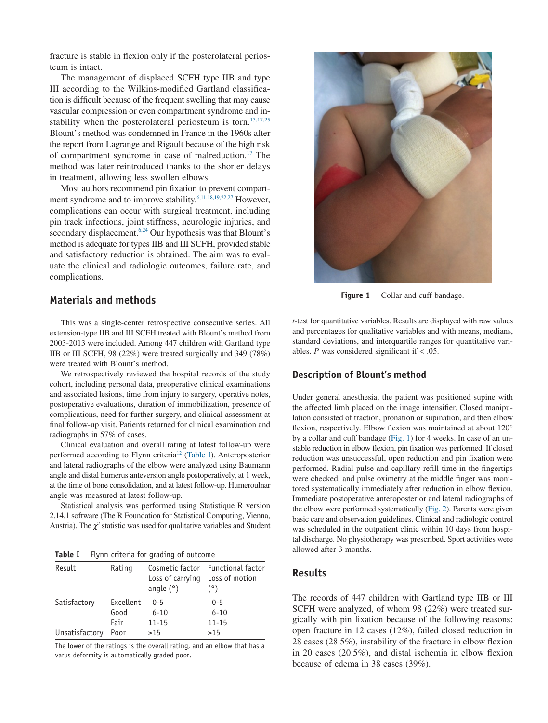fracture is stable in flexion only if the posterolateral periosteum is intact.

The management of displaced SCFH type IIB and type III according to the Wilkins-modified Gartland classification is difficult because of the frequent swelling that may cause vascular compression or even compartment syndrome and instability when the posterolateral periosteum is torn.<sup>13,17,25</sup> Blount's method was condemned in France in the 1960s after the report from Lagrange and Rigault because of the high risk of compartment syndrome in case of malreduction[.17](#page-6-3) The method was later reintroduced thanks to the shorter delays in treatment, allowing less swollen elbows.

Most authors recommend pin fixation to prevent compartment syndrome and to improve stability.<sup>6,11,18,19,22,27</sup> However, complications can occur with surgical treatment, including pin track infections, joint stiffness, neurologic injuries, and secondary displacement.<sup>6,24</sup> Our hypothesis was that Blount's method is adequate for types IIB and III SCFH, provided stable and satisfactory reduction is obtained. The aim was to evaluate the clinical and radiologic outcomes, failure rate, and complications.

# **Materials and methods**

This was a single-center retrospective consecutive series. All extension-type IIB and III SCFH treated with Blount's method from 2003-2013 were included. Among 447 children with Gartland type IIB or III SCFH, 98 (22%) were treated surgically and 349 (78%) were treated with Blount's method.

We retrospectively reviewed the hospital records of the study cohort, including personal data, preoperative clinical examinations and associated lesions, time from injury to surgery, operative notes, postoperative evaluations, duration of immobilization, presence of complications, need for further surgery, and clinical assessment at final follow-up visit. Patients returned for clinical examination and radiographs in 57% of cases.

Clinical evaluation and overall rating at latest follow-up were performed according to Flynn criteria<sup>12</sup> (Table I). Anteroposterior and lateral radiographs of the elbow were analyzed using Baumann angle and distal humerus anteversion angle postoperatively, at 1 week, at the time of bone consolidation, and at latest follow-up. Humeroulnar angle was measured at latest follow-up.

Statistical analysis was performed using Statistique R version 2.14.1 software (The R Foundation for Statistical Computing, Vienna, Austria). The  $\chi^2$  statistic was used for qualitative variables and Student

**Table I** Flynn criteria for grading of outcome

| Result         | Rating    | Loss of carrying<br>angle $(°)$ | Cosmetic factor Functional factor<br>Loss of motion<br>(°) |
|----------------|-----------|---------------------------------|------------------------------------------------------------|
| Satisfactory   | Excellent | $0 - 5$                         | $0 - 5$                                                    |
|                | Good      | $6 - 10$                        | $6 - 10$                                                   |
|                | Fair      | $11 - 15$                       | $11 - 15$                                                  |
| Unsatisfactory | Poor      | >15                             | >15                                                        |

The lower of the ratings is the overall rating, and an elbow that has a varus deformity is automatically graded poor.



Figure 1 Collar and cuff bandage.

*t*-test for quantitative variables. Results are displayed with raw values and percentages for qualitative variables and with means, medians, standard deviations, and interquartile ranges for quantitative variables.  $P$  was considered significant if  $<$  .05.

#### **Description of Blount's method**

Under general anesthesia, the patient was positioned supine with the affected limb placed on the image intensifier. Closed manipulation consisted of traction, pronation or supination, and then elbow flexion, respectively. Elbow flexion was maintained at about 120° by a collar and cuff bandage (Fig. 1) for 4 weeks. In case of an unstable reduction in elbow flexion, pin fixation was performed. If closed reduction was unsuccessful, open reduction and pin fixation were performed. Radial pulse and capillary refill time in the fingertips were checked, and pulse oximetry at the middle finger was monitored systematically immediately after reduction in elbow flexion. Immediate postoperative anteroposterior and lateral radiographs of the elbow were performed systematically [\(Fig. 2\)](#page-3-0). Parents were given basic care and observation guidelines. Clinical and radiologic control was scheduled in the outpatient clinic within 10 days from hospital discharge. No physiotherapy was prescribed. Sport activities were allowed after 3 months.

### **Results**

The records of 447 children with Gartland type IIB or III SCFH were analyzed, of whom 98 (22%) were treated surgically with pin fixation because of the following reasons: open fracture in 12 cases (12%), failed closed reduction in 28 cases (28.5%), instability of the fracture in elbow flexion in 20 cases (20.5%), and distal ischemia in elbow flexion because of edema in 38 cases (39%).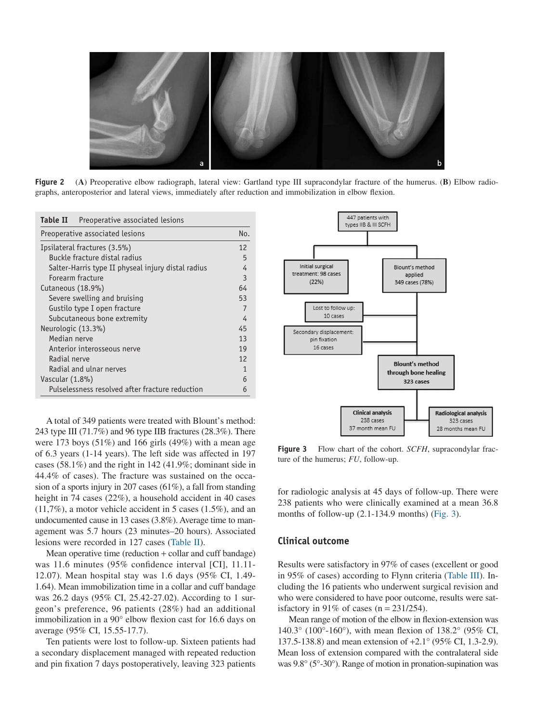<span id="page-3-0"></span>

**Figure 2** (**A**) Preoperative elbow radiograph, lateral view: Gartland type III supracondylar fracture of the humerus. (**B**) Elbow radiographs, anteroposterior and lateral views, immediately after reduction and immobilization in elbow flexion.

| Table II<br>Preoperative associated lesions        |  |  |  |
|----------------------------------------------------|--|--|--|
| Preoperative associated lesions                    |  |  |  |
| Ipsilateral fractures (3.5%)                       |  |  |  |
| Buckle fracture distal radius                      |  |  |  |
| Salter-Harris type II physeal injury distal radius |  |  |  |
| Forearm fracture                                   |  |  |  |
| Cutaneous (18.9%)                                  |  |  |  |
| Severe swelling and bruising                       |  |  |  |
| Gustilo type I open fracture                       |  |  |  |
| Subcutaneous bone extremity                        |  |  |  |
| Neurologic (13.3%)                                 |  |  |  |
| Median nerve                                       |  |  |  |
| Anterior interosseous nerve                        |  |  |  |
| Radial nerve                                       |  |  |  |
| Radial and ulnar nerves                            |  |  |  |
| Vascular (1.8%)                                    |  |  |  |
| Pulselessness resolved after fracture reduction    |  |  |  |

A total of 349 patients were treated with Blount's method: 243 type III (71.7%) and 96 type IIB fractures (28.3%). There were 173 boys (51%) and 166 girls (49%) with a mean age of 6.3 years (1-14 years). The left side was affected in 197 cases (58.1%) and the right in 142 (41.9%; dominant side in 44.4% of cases). The fracture was sustained on the occasion of a sports injury in 207 cases (61%), a fall from standing height in 74 cases (22%), a household accident in 40 cases (11,7%), a motor vehicle accident in 5 cases (1.5%), and an undocumented cause in 13 cases (3.8%). Average time to management was 5.7 hours (23 minutes–20 hours). Associated lesions were recorded in 127 cases (Table II).

Mean operative time (reduction + collar and cuff bandage) was 11.6 minutes (95% confidence interval [CI], 11.11- 12.07). Mean hospital stay was 1.6 days (95% CI, 1.49- 1.64). Mean immobilization time in a collar and cuff bandage was 26.2 days (95% CI, 25.42-27.02). According to 1 surgeon's preference, 96 patients (28%) had an additional immobilization in a 90° elbow flexion cast for 16.6 days on average (95% CI, 15.55-17.7).

Ten patients were lost to follow-up. Sixteen patients had a secondary displacement managed with repeated reduction and pin fixation 7 days postoperatively, leaving 323 patients



**Figure 3** Flow chart of the cohort. *SCFH*, supracondylar fracture of the humerus; *FU*, follow-up.

for radiologic analysis at 45 days of follow-up. There were 238 patients who were clinically examined at a mean 36.8 months of follow-up (2.1-134.9 months) (Fig. 3).

#### **Clinical outcome**

Results were satisfactory in 97% of cases (excellent or good in 95% of cases) according to Flynn criteria [\(Table III\)](#page-4-0). Including the 16 patients who underwent surgical revision and who were considered to have poor outcome, results were satisfactory in 91% of cases ( $n = 231/254$ ).

Mean range of motion of the elbow in flexion-extension was 140.3° (100°-160°), with mean flexion of 138.2° (95% CI, 137.5-138.8) and mean extension of +2.1° (95% CI, 1.3-2.9). Mean loss of extension compared with the contralateral side was 9.8° (5°-30°). Range of motion in pronation-supination was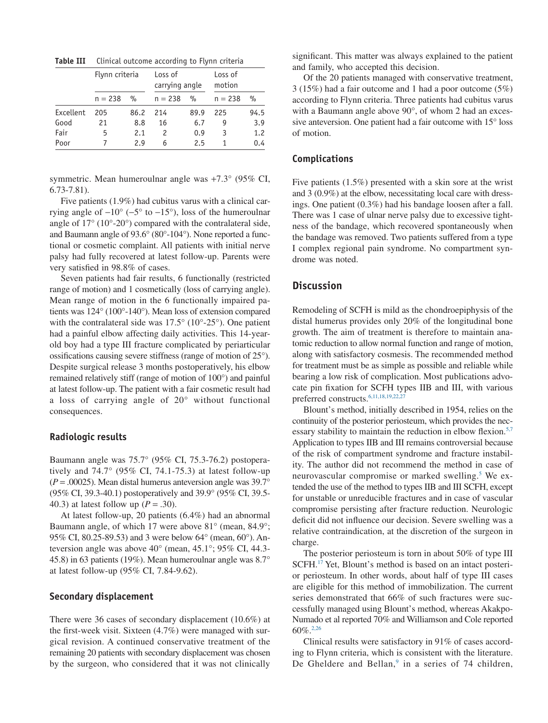<span id="page-4-0"></span>**Table III** Clinical outcome according to Flynn criteria

|           | Flynn criteria |               | Loss of<br>carrying angle |      | Loss of<br>motion |      |
|-----------|----------------|---------------|---------------------------|------|-------------------|------|
|           | $n = 238$      | $\frac{9}{0}$ | $n = 238$                 | $\%$ | $n = 238$         | $\%$ |
| Excellent | 205            | 86.2          | 214                       | 89.9 | 225               | 94.5 |
| Good      | 21             | 8.8           | 16                        | 6.7  | g                 | 3.9  |
| Fair      | 5              | 2.1           |                           | 0.9  | 3                 | 1.2  |
| Poor      |                | 2.9           | 6                         | 25   |                   | 0.4  |

symmetric. Mean humeroulnar angle was +7.3° (95% CI, 6.73-7.81).

Five patients (1.9%) had cubitus varus with a clinical carrying angle of  $-10^{\circ}$  ( $-5^{\circ}$  to  $-15^{\circ}$ ), loss of the humeroulnar angle of 17° (10°-20°) compared with the contralateral side, and Baumann angle of 93.6° (80°-104°). None reported a functional or cosmetic complaint. All patients with initial nerve palsy had fully recovered at latest follow-up. Parents were very satisfied in 98.8% of cases.

Seven patients had fair results, 6 functionally (restricted range of motion) and 1 cosmetically (loss of carrying angle). Mean range of motion in the 6 functionally impaired patients was 124° (100°-140°). Mean loss of extension compared with the contralateral side was 17.5° (10°-25°). One patient had a painful elbow affecting daily activities. This 14-yearold boy had a type III fracture complicated by periarticular ossifications causing severe stiffness (range of motion of 25°). Despite surgical release 3 months postoperatively, his elbow remained relatively stiff (range of motion of 100°) and painful at latest follow-up. The patient with a fair cosmetic result had a loss of carrying angle of 20° without functional consequences.

#### **Radiologic results**

Baumann angle was 75.7° (95% CI, 75.3-76.2) postoperatively and  $74.7^\circ$  (95% CI, 74.1-75.3) at latest follow-up  $(P = .00025)$ . Mean distal humerus anteversion angle was 39.7° (95% CI, 39.3-40.1) postoperatively and 39.9° (95% CI, 39.5- 40.3) at latest follow up (*P* = .30).

At latest follow-up, 20 patients (6.4%) had an abnormal Baumann angle, of which 17 were above 81° (mean, 84.9°; 95% CI, 80.25-89.53) and 3 were below 64° (mean, 60°). Anteversion angle was above 40° (mean, 45.1°; 95% CI, 44.3- 45.8) in 63 patients (19%). Mean humeroulnar angle was 8.7° at latest follow-up (95% CI, 7.84-9.62).

#### **Secondary displacement**

There were 36 cases of secondary displacement (10.6%) at the first-week visit. Sixteen (4.7%) were managed with surgical revision. A continued conservative treatment of the remaining 20 patients with secondary displacement was chosen by the surgeon, who considered that it was not clinically

significant. This matter was always explained to the patient and family, who accepted this decision.

Of the 20 patients managed with conservative treatment, 3 (15%) had a fair outcome and 1 had a poor outcome (5%) according to Flynn criteria. Three patients had cubitus varus with a Baumann angle above 90°, of whom 2 had an excessive anteversion. One patient had a fair outcome with 15° loss of motion.

#### **Complications**

Five patients (1.5%) presented with a skin sore at the wrist and 3 (0.9%) at the elbow, necessitating local care with dressings. One patient (0.3%) had his bandage loosen after a fall. There was 1 case of ulnar nerve palsy due to excessive tightness of the bandage, which recovered spontaneously when the bandage was removed. Two patients suffered from a type I complex regional pain syndrome. No compartment syndrome was noted.

## **Discussion**

Remodeling of SCFH is mild as the chondroepiphysis of the distal humerus provides only 20% of the longitudinal bone growth. The aim of treatment is therefore to maintain anatomic reduction to allow normal function and range of motion, along with satisfactory cosmesis. The recommended method for treatment must be as simple as possible and reliable while bearing a low risk of complication. Most publications advocate pin fixation for SCFH types IIB and III, with various preferred constructs[.6,11,18,19,22,27](#page-6-4)

Blount's method, initially described in 1954, relies on the continuity of the posterior periosteum, which provides the necessary stability to maintain the reduction in elbow flexion.<sup>5,7</sup> Application to types IIB and III remains controversial because of the risk of compartment syndrome and fracture instability. The author did not recommend the method in case of neurovascular compromise or marked swelling.<sup>5</sup> We extended the use of the method to types IIB and III SCFH, except for unstable or unreducible fractures and in case of vascular compromise persisting after fracture reduction. Neurologic deficit did not influence our decision. Severe swelling was a relative contraindication, at the discretion of the surgeon in charge.

The posterior periosteum is torn in about 50% of type III SCFH[.17](#page-6-3) Yet, Blount's method is based on an intact posterior periosteum. In other words, about half of type III cases are eligible for this method of immobilization. The current series demonstrated that 66% of such fractures were successfully managed using Blount's method, whereas Akakpo-Numado et al reported 70% and Williamson and Cole reported 60%[.2,26](#page-5-0)

Clinical results were satisfactory in 91% of cases according to Flynn criteria, which is consistent with the literature. De Gheldere and Bellan, $9$  in a series of 74 children,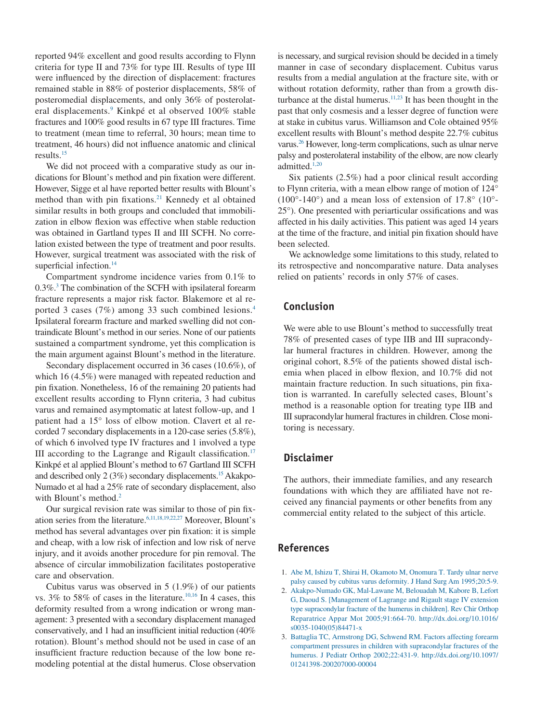reported 94% excellent and good results according to Flynn criteria for type II and 73% for type III. Results of type III were influenced by the direction of displacement: fractures remained stable in 88% of posterior displacements, 58% of posteromedial displacements, and only 36% of posterolateral displacements.<sup>9</sup> Kinkpé et al observed 100% stable fractures and 100% good results in 67 type III fractures. Time to treatment (mean time to referral, 30 hours; mean time to treatment, 46 hours) did not influence anatomic and clinical results[.15](#page-6-7)

We did not proceed with a comparative study as our indications for Blount's method and pin fixation were different. However, Sigge et al have reported better results with Blount's method than with pin fixations.<sup>21</sup> Kennedy et al obtained similar results in both groups and concluded that immobilization in elbow flexion was effective when stable reduction was obtained in Gartland types II and III SCFH. No correlation existed between the type of treatment and poor results. However, surgical treatment was associated with the risk of superficial infection.<sup>14</sup>

Compartment syndrome incidence varies from 0.1% to 0[.3](#page-5-1)%.<sup>3</sup> The combination of the SCFH with ipsilateral forearm fracture represents a major risk factor. Blakemore et al reported 3 cases (7%) among 33 such combined lesions[.4](#page-6-10) Ipsilateral forearm fracture and marked swelling did not contraindicate Blount's method in our series. None of our patients sustained a compartment syndrome, yet this complication is the main argument against Blount's method in the literature.

Secondary displacement occurred in 36 cases (10.6%), of which 16 (4.5%) were managed with repeated reduction and pin fixation. Nonetheless, 16 of the remaining 20 patients had excellent results according to Flynn criteria, 3 had cubitus varus and remained asymptomatic at latest follow-up, and 1 patient had a 15° loss of elbow motion. Clavert et al recorded 7 secondary displacements in a 120-case series (5.8%), of which 6 involved type IV fractures and 1 involved a type III according to the Lagrange and Rigault classification.<sup>17</sup> Kinkpé et al applied Blount's method to 67 Gartland III SCFH and described only  $2(3\%)$  secondary displacements.<sup>15</sup> Akakpo-Numado et al had a 25% rate of secondary displacement, also with Blount's method. $2^2$ 

Our surgical revision rate was similar to those of pin fixation series from the literature.<sup>6,11,18,19,22,27</sup> Moreover, Blount's method has several advantages over pin fixation: it is simple and cheap, with a low risk of infection and low risk of nerve injury, and it avoids another procedure for pin removal. The absence of circular immobilization facilitates postoperative care and observation.

Cubitus varus was observed in 5 (1.9%) of our patients vs.  $3\%$  to  $58\%$  of cases in the literature.<sup>10,16</sup> In 4 cases, this deformity resulted from a wrong indication or wrong management: 3 presented with a secondary displacement managed conservatively, and 1 had an insufficient initial reduction (40% rotation). Blount's method should not be used in case of an insufficient fracture reduction because of the low bone remodeling potential at the distal humerus. Close observation is necessary, and surgical revision should be decided in a timely manner in case of secondary displacement. Cubitus varus results from a medial angulation at the fracture site, with or without rotation deformity, rather than from a growth disturbance at the distal humerus. $11,23$  It has been thought in the past that only cosmesis and a lesser degree of function were at stake in cubitus varus. Williamson and Cole obtained 95% excellent results with Blount's method despite 22.7% cubitus varus.<sup>26</sup> However, long-term complications, such as ulnar nerve palsy and posterolateral instability of the elbow, are now clearly admitted.<sup>1,20</sup>

Six patients (2.5%) had a poor clinical result according to Flynn criteria, with a mean elbow range of motion of 124°  $(100^{\circ} - 140^{\circ})$  and a mean loss of extension of 17.8°  $(10^{\circ} - 140^{\circ})$ 25°). One presented with periarticular ossifications and was affected in his daily activities. This patient was aged 14 years at the time of the fracture, and initial pin fixation should have been selected.

We acknowledge some limitations to this study, related to its retrospective and noncomparative nature. Data analyses relied on patients' records in only 57% of cases.

## **Conclusion**

We were able to use Blount's method to successfully treat 78% of presented cases of type IIB and III supracondylar humeral fractures in children. However, among the original cohort, 8.5% of the patients showed distal ischemia when placed in elbow flexion, and 10.7% did not maintain fracture reduction. In such situations, pin fixation is warranted. In carefully selected cases, Blount's method is a reasonable option for treating type IIB and III supracondylar humeral fractures in children. Close monitoring is necessary.

## **Disclaimer**

The authors, their immediate families, and any research foundations with which they are affiliated have not received any financial payments or other benefits from any commercial entity related to the subject of this article.

### **References**

- <span id="page-5-2"></span>1. Abe M, Ishizu T, Shirai H, Okamoto M, Onomura T. Tardy ulnar nerve palsy caused by cubitus varus deformity. J Hand Surg Am 1995;20:5-9.
- <span id="page-5-0"></span>2. Akakpo-Numado GK, Mal-Lawane M, Belouadah M, Kabore B, Lefort G, Daoud S. [Management of Lagrange and Rigault stage IV extension type supracondylar fracture of the humerus in children]. Rev Chir Orthop Reparatrice Appar Mot 2005;91:664-70. http://dx.doi.org/10.1016/ s0035-1040(05)84471-x
- <span id="page-5-1"></span>3. Battaglia TC, Armstrong DG, Schwend RM. Factors affecting forearm compartment pressures in children with supracondylar fractures of the humerus. J Pediatr Orthop 2002;22:431-9. http://dx.doi.org/10.1097/ 01241398-200207000-00004